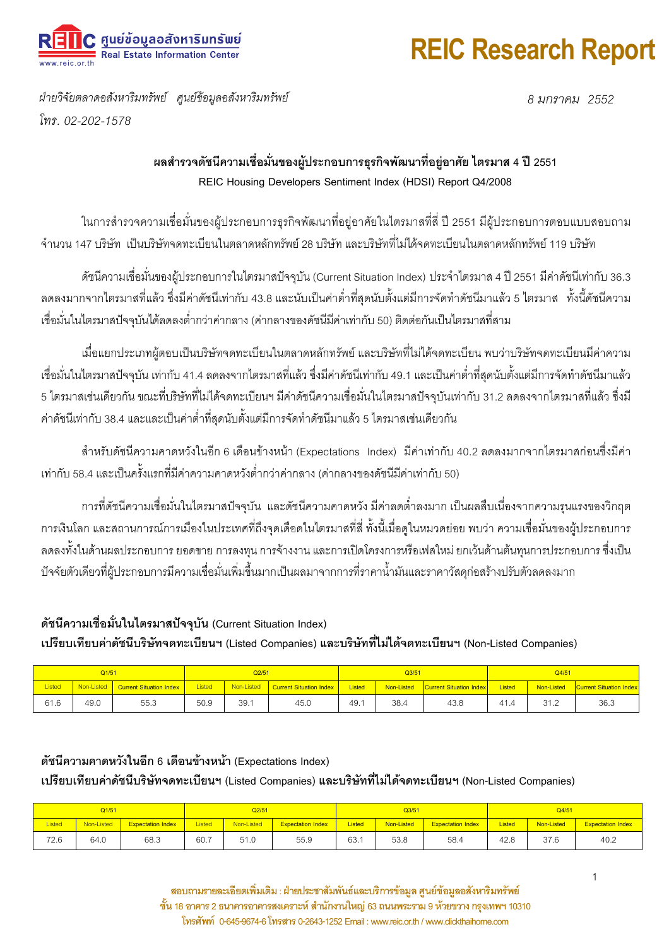

### **REIC Research Report**

ฝ่ายวิจัยตลาดอสังหาริมทรัพย์ ศูนย์ข้อมูลอสังหาริมทรัพย์ โทร 02-202-1578

8 มกราคม 2552

#### ี ผลสำรวจดัชนีความเชื่อมั่นของผู้ประกอบการธุรกิจพัฒนาที่อยู่อาศัย ไตรมาส 4 ปี 2551 REIC Housing Developers Sentiment Index (HDSI) Report Q4/2008

ในการสำรวจความเชื่อมั่นของผู้ประกอบการธุรกิจพัฒนาที่อยู่อาศัยในไตรมาสที่สี่ ปี 2551 มีผู้ประกอบการตอบแบบสอบถาม จำบวบ 147 บริษัท เป็นบริษัทจดทะเบียนในตลาดหลักทรัพย์ 28 บริษัท และบริษัทที่ไม่ได้จดทะเบียนในตลาดหลักทรัพย์ 119 บริษัท

้ ดัชนีความเชื่อมั่นของผู้ประกอบการในไตรมาสปัจจุบัน (Current Situation Index) ประจำไตรมาส 4 ปี 2551 มีค่าดัชนีเท่ากับ 36.3 ิลดลงมากจากไตรมาสที่แล้ว ซึ่งมีค่าดัชนีเท่ากับ 43.8 และนับเป็นค่าต่ำที่สุดนับตั้งแต่มีการจัดทำดัชนีมาแล้ว 5 ไตรมาส ทั้งนี้ดัชนีความ เชื่อมั่นในไตรมาสปัจจุบันได้ลดลงต่ำกว่าค่ากลาง (ค่ากลางของดัชนีมีค่าเท่ากับ 50) ติดต่อกันเป็นไตรมาสที่สาม

เมื่อแยกประเภทผัตอบเป็นบริษัทจดทะเบียนในตลาดหลักทรัพย์ และบริษัทที่ไม่ได้จดทะเบียน พบว่าบริษัทจดทะเบียนมีค่าความ เชื่อมั่นในไตรมาสปัจจุบัน เท่ากับ 41.4 ลดลงจากไตรมาสที่แล้ว ซึ่งมีค่าดัชนีเท่ากับ 49.1 และเป็นค่าต่ำที่สุดนับตั้งแต่มีการจัดทำดัชนีมาแล้ว 5 ไตรมาสเช่นเดียวกัน ขณะที่บริษัทที่ไม่ได้จดทะเบียนฯ มีค่าดัชนีความเชื่อมั่นในไตรมาสปัจจุบันเท่ากับ 31.2 ลดลงจากไตรมาสที่แล้ว ซึ่งมี ้ค่าดัชนีเท่ากับ 38.4 และและเป็นค่าต่ำที่สุดนับตั้งแต่มีการจัดทำดัชนีมาแล้ว 5 ไตรมาสเช่นเดียวกัน

้ สำหรับดัชนีความคาดหวังในอีก 6 เดือนข้างหน้า (Expectations Index) มีค่าเท่ากับ 40.2 ลดลงมากจากไตรมาสก่อนซึ่งมีค่า ่ เท่ากับ 58.4 และเป็นครั้งแรกที่มีค่าความคาดหวังต่ำกว่าค่ากลาง (ค่ากลางของดัชนีมีค่าเท่ากับ 50)

้การที่ดัชนีความเชื่อมั่นในไตรมาสปัจจุบัน และดัชนีความคาดหวัง มีค่าลดต่ำลงมาก เป็นผลสืบเนื่องจากความรนแรงของวิกฤต ้การเงินโลก และสถานการณ์การเมืองในประเทศที่ถึงจุดเดือดในไตรมาสที่สี่ ทั้งนี้เมื่อดูในหมวดย่อย พบว่า ความเชื่อมั่นของผู้ประกอบการ ิลดลงทั้งในด้านผลประกอบการ ยอดขาย การลงทน การจ้างงาน และการเปิดโครงการหรือเฟสใหม่ ยกเว้นด้านต้นทนการประกอบการ ซึ่งเป็น ้ ปัจจัยตัวเดียวที่ผ้ประกอบการมีความเชื่อมั่นเพิ่มขึ้นมากเป็นผลมาจากการที่ราคาน้ำมันและราคาวัสดก่อสร้างปรับตัวลดลงมาก

#### ดัชนีความเชื่อมั่นในไตรมาสปัจจุบัน (Current Situation Index)

เปรียบเทียบค่าดัชนีบริษัทจดทะเบียนฯ (Listed Companies) และบริษัทที่ไม่ได้จดทะเบียนฯ (Non-Listed Companies)

| Q1/51  |      |                                    | Q2/51  |      |                                      | $Q$ $3/51$    |            |                                | Q4/51  |            |                                |
|--------|------|------------------------------------|--------|------|--------------------------------------|---------------|------------|--------------------------------|--------|------------|--------------------------------|
| Listed |      | Non-Listed Current Situation Index | Listed |      | Non-Listed   Current Situation Index | <b>Listed</b> | Non-Listed | <b>Current Situation Index</b> | Listed | Non-Listed | <b>Current Situation Index</b> |
| 61.6   | 49.0 | 55.3                               | 50.9   | 39.1 | 45.0                                 | 49.1          | 38.4       | 43.8                           | 41.4   | 31.2       | 36.3                           |

#### ดัชนีความคาดหวังในอีก 6 เดือนข้างหน้า (Expectations Index)

เปรียบเทียบค่าดัชนีบริษัทจดทะเบียนฯ (Listed Companies) และบริษัทที่ไม่ได้จดทะเบียนฯ (Non-Listed Companies)

| Q1/51         |            |                          | Q2/51         |            |                          | $Q$ $3/51$    |            |                          | Q4/51         |            |                          |
|---------------|------------|--------------------------|---------------|------------|--------------------------|---------------|------------|--------------------------|---------------|------------|--------------------------|
| <b>Listed</b> | Non-Listed | <b>Expectation Index</b> | <b>Listed</b> | Non-Listed | <b>Expectation Index</b> | <b>Listed</b> | Non-Listed | <b>Expectation Index</b> | <b>Listed</b> | Non-Listed | <b>Expectation Index</b> |
| 72.6          | 64.0       | 68.3                     | 60.7          | 51.0       | 55.9                     | 63.1          | 53.8       | 58.4                     | 42.8          | 37.6       | 40.2                     |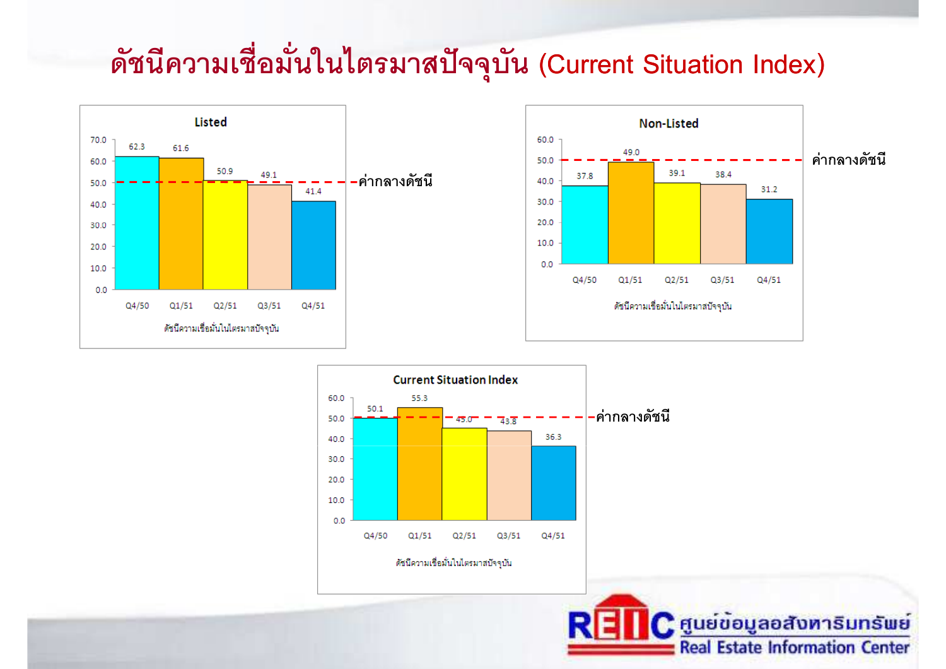# ดัชนีความเชื่อมั่นในไตรมาสปัจจุบัน (Current Situation Index)